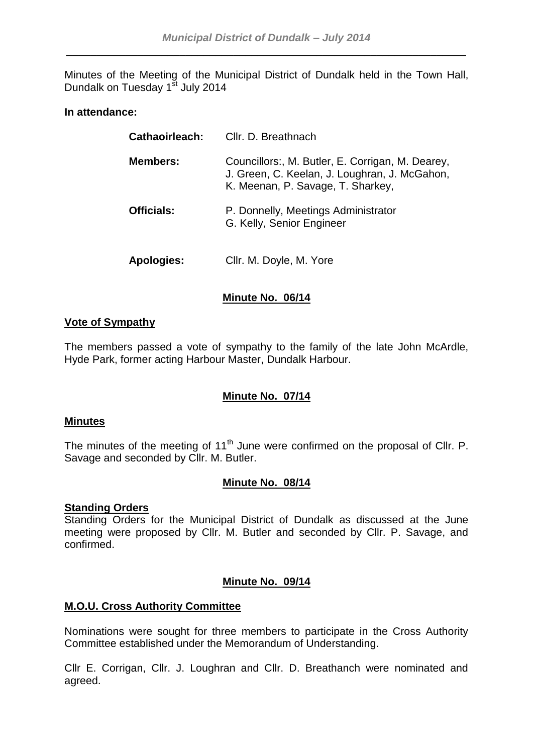Minutes of the Meeting of the Municipal District of Dundalk held in the Town Hall, Dundalk on Tuesday 1<sup>st</sup> July 2014

## **In attendance:**

| Cathaoirleach:    | Cllr. D. Breathnach                                                                                                                    |
|-------------------|----------------------------------------------------------------------------------------------------------------------------------------|
| <b>Members:</b>   | Councillors:, M. Butler, E. Corrigan, M. Dearey,<br>J. Green, C. Keelan, J. Loughran, J. McGahon,<br>K. Meenan, P. Savage, T. Sharkey, |
| <b>Officials:</b> | P. Donnelly, Meetings Administrator<br>G. Kelly, Senior Engineer                                                                       |
| Apologies:        | Cllr. M. Doyle, M. Yore                                                                                                                |

# **Minute No. 06/14**

## **Vote of Sympathy**

The members passed a vote of sympathy to the family of the late John McArdle, Hyde Park, former acting Harbour Master, Dundalk Harbour.

# **Minute No. 07/14**

## **Minutes**

The minutes of the meeting of  $11<sup>th</sup>$  June were confirmed on the proposal of Cllr. P. Savage and seconded by Cllr. M. Butler.

## **Minute No. 08/14**

# **Standing Orders**

Standing Orders for the Municipal District of Dundalk as discussed at the June meeting were proposed by Cllr. M. Butler and seconded by Cllr. P. Savage, and confirmed.

## **Minute No. 09/14**

## **M.O.U. Cross Authority Committee**

Nominations were sought for three members to participate in the Cross Authority Committee established under the Memorandum of Understanding.

Cllr E. Corrigan, Cllr. J. Loughran and Cllr. D. Breathanch were nominated and agreed.